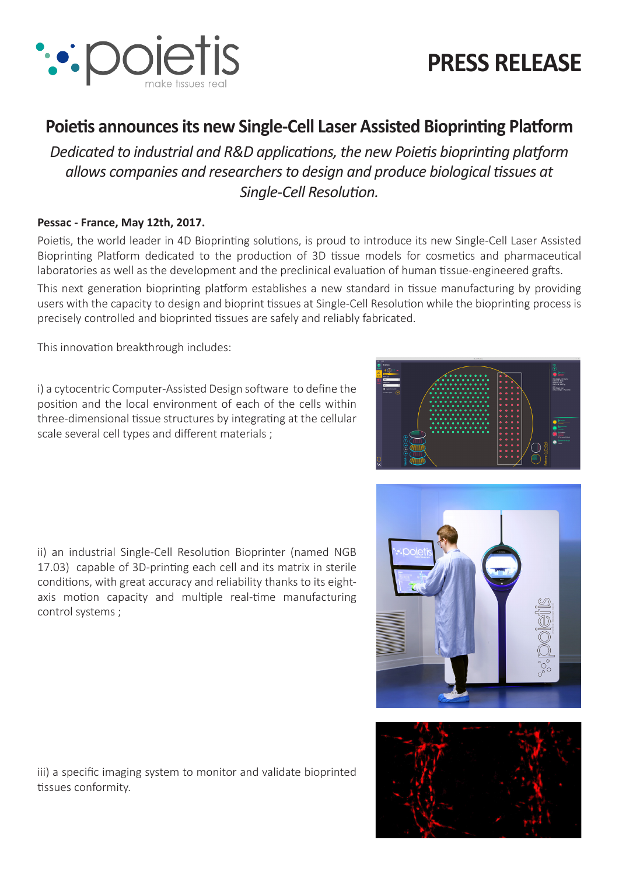

# **PRESS RELEASE**

# **Poietis announces its new Single-Cell Laser Assisted Bioprinting Platform**

*Dedicated to industrial and R&D applications, the new Poietis bioprinting platform allows companies and researchers to design and produce biological tissues at Single-Cell Resolution.*

#### **Pessac - France, May 12th, 2017.**

Poietis, the world leader in 4D Bioprinting solutions, is proud to introduce its new Single-Cell Laser Assisted Bioprinting Platform dedicated to the production of 3D tissue models for cosmetics and pharmaceutical laboratories as well as the development and the preclinical evaluation of human tissue-engineered grafts. This next generation bioprinting platform establishes a new standard in tissue manufacturing by providing users with the capacity to design and bioprint tissues at Single-Cell Resolution while the bioprinting process is precisely controlled and bioprinted tissues are safely and reliably fabricated.

This innovation breakthrough includes:

i) a cytocentric Computer-Assisted Design software to define the position and the local environment of each of the cells within three-dimensional tissue structures by integrating at the cellular scale several cell types and different materials ;





iii) a specific imaging system to monitor and validate bioprinted tissues conformity.